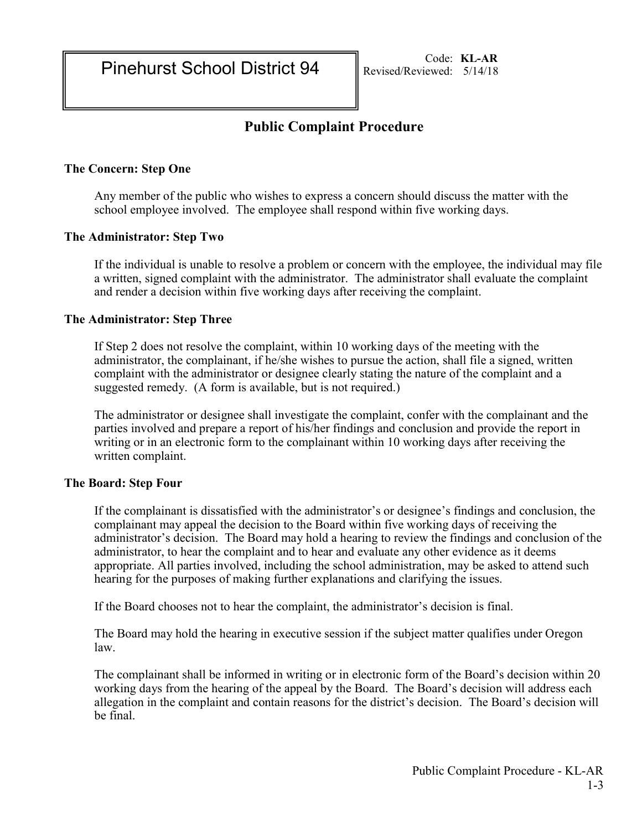# Public Complaint Procedure

### The Concern: Step One

Any member of the public who wishes to express a concern should discuss the matter with the school employee involved. The employee shall respond within five working days.

#### The Administrator: Step Two

If the individual is unable to resolve a problem or concern with the employee, the individual may file a written, signed complaint with the administrator. The administrator shall evaluate the complaint and render a decision within five working days after receiving the complaint.

#### The Administrator: Step Three

If Step 2 does not resolve the complaint, within 10 working days of the meeting with the administrator, the complainant, if he/she wishes to pursue the action, shall file a signed, written complaint with the administrator or designee clearly stating the nature of the complaint and a suggested remedy. (A form is available, but is not required.)

The administrator or designee shall investigate the complaint, confer with the complainant and the parties involved and prepare a report of his/her findings and conclusion and provide the report in writing or in an electronic form to the complainant within 10 working days after receiving the written complaint.

#### The Board: Step Four

If the complainant is dissatisfied with the administrator's or designee's findings and conclusion, the complainant may appeal the decision to the Board within five working days of receiving the administrator's decision. The Board may hold a hearing to review the findings and conclusion of the administrator, to hear the complaint and to hear and evaluate any other evidence as it deems appropriate. All parties involved, including the school administration, may be asked to attend such hearing for the purposes of making further explanations and clarifying the issues.

If the Board chooses not to hear the complaint, the administrator's decision is final.

The Board may hold the hearing in executive session if the subject matter qualifies under Oregon law.

The complainant shall be informed in writing or in electronic form of the Board's decision within 20 working days from the hearing of the appeal by the Board. The Board's decision will address each allegation in the complaint and contain reasons for the district's decision. The Board's decision will be final.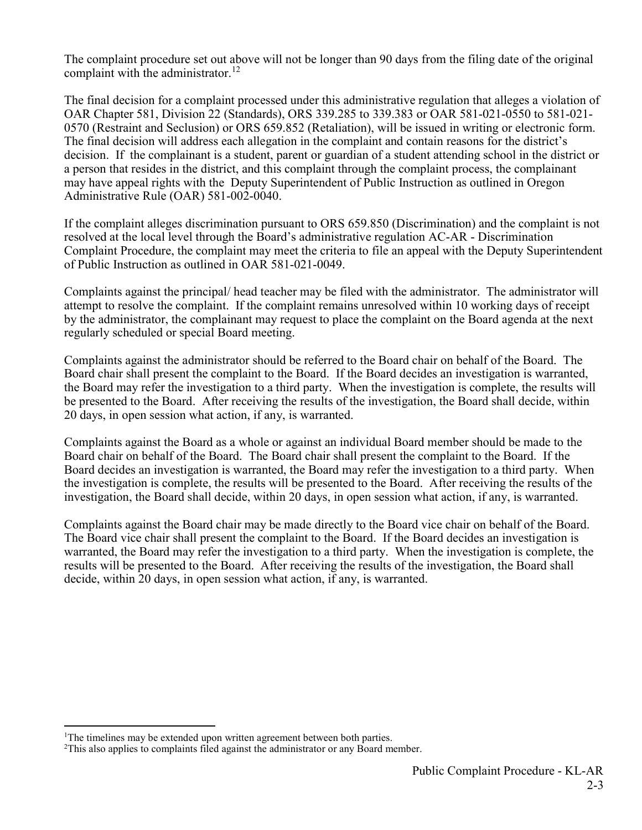The complaint procedure set out above will not be longer than 90 days from the filing date of the original complaint with the administrator.<sup>12</sup>

The final decision for a complaint processed under this administrative regulation that alleges a violation of OAR Chapter 581, Division 22 (Standards), ORS 339.285 to 339.383 or OAR 581-021-0550 to 581-021- 0570 (Restraint and Seclusion) or ORS 659.852 (Retaliation), will be issued in writing or electronic form. The final decision will address each allegation in the complaint and contain reasons for the district's decision. If the complainant is a student, parent or guardian of a student attending school in the district or a person that resides in the district, and this complaint through the complaint process, the complainant may have appeal rights with the Deputy Superintendent of Public Instruction as outlined in Oregon Administrative Rule (OAR) 581-002-0040.

If the complaint alleges discrimination pursuant to ORS 659.850 (Discrimination) and the complaint is not resolved at the local level through the Board's administrative regulation AC-AR - Discrimination Complaint Procedure, the complaint may meet the criteria to file an appeal with the Deputy Superintendent of Public Instruction as outlined in OAR 581-021-0049.

Complaints against the principal/ head teacher may be filed with the administrator. The administrator will attempt to resolve the complaint. If the complaint remains unresolved within 10 working days of receipt by the administrator, the complainant may request to place the complaint on the Board agenda at the next regularly scheduled or special Board meeting.

Complaints against the administrator should be referred to the Board chair on behalf of the Board. The Board chair shall present the complaint to the Board. If the Board decides an investigation is warranted, the Board may refer the investigation to a third party. When the investigation is complete, the results will be presented to the Board. After receiving the results of the investigation, the Board shall decide, within 20 days, in open session what action, if any, is warranted.

Complaints against the Board as a whole or against an individual Board member should be made to the Board chair on behalf of the Board. The Board chair shall present the complaint to the Board. If the Board decides an investigation is warranted, the Board may refer the investigation to a third party. When the investigation is complete, the results will be presented to the Board. After receiving the results of the investigation, the Board shall decide, within 20 days, in open session what action, if any, is warranted.

Complaints against the Board chair may be made directly to the Board vice chair on behalf of the Board. The Board vice chair shall present the complaint to the Board. If the Board decides an investigation is warranted, the Board may refer the investigation to a third party. When the investigation is complete, the results will be presented to the Board. After receiving the results of the investigation, the Board shall decide, within 20 days, in open session what action, if any, is warranted.

 $\overline{a}$ 

<sup>&</sup>lt;sup>1</sup>The timelines may be extended upon written agreement between both parties.

<sup>&</sup>lt;sup>2</sup>This also applies to complaints filed against the administrator or any Board member.